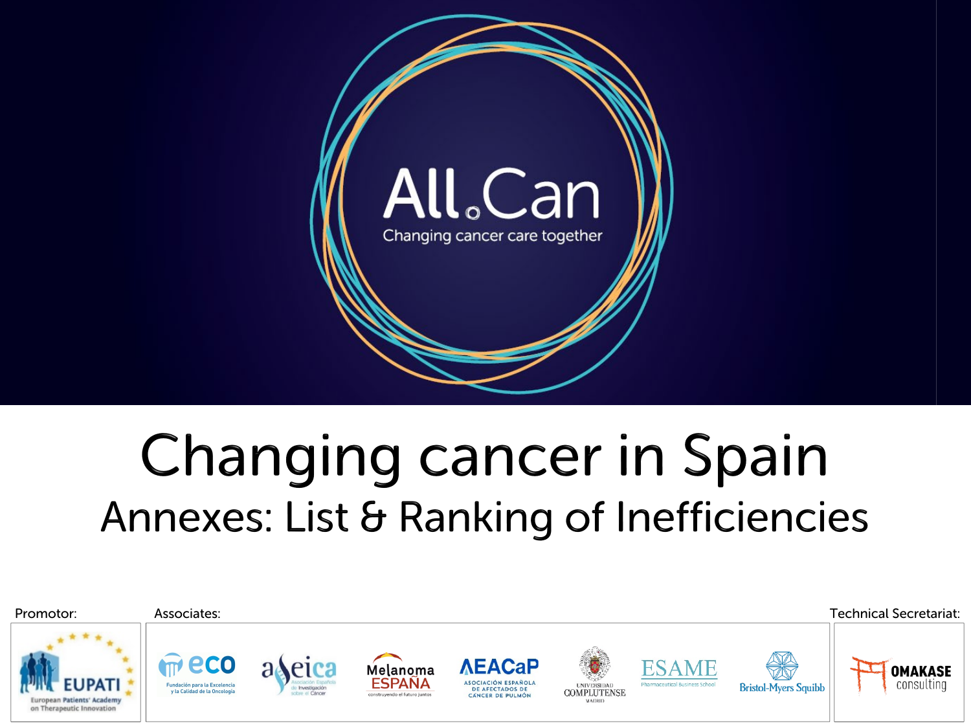

# **Changing cancer in Spain** Annexes: List & Ranking of Inefficiencies

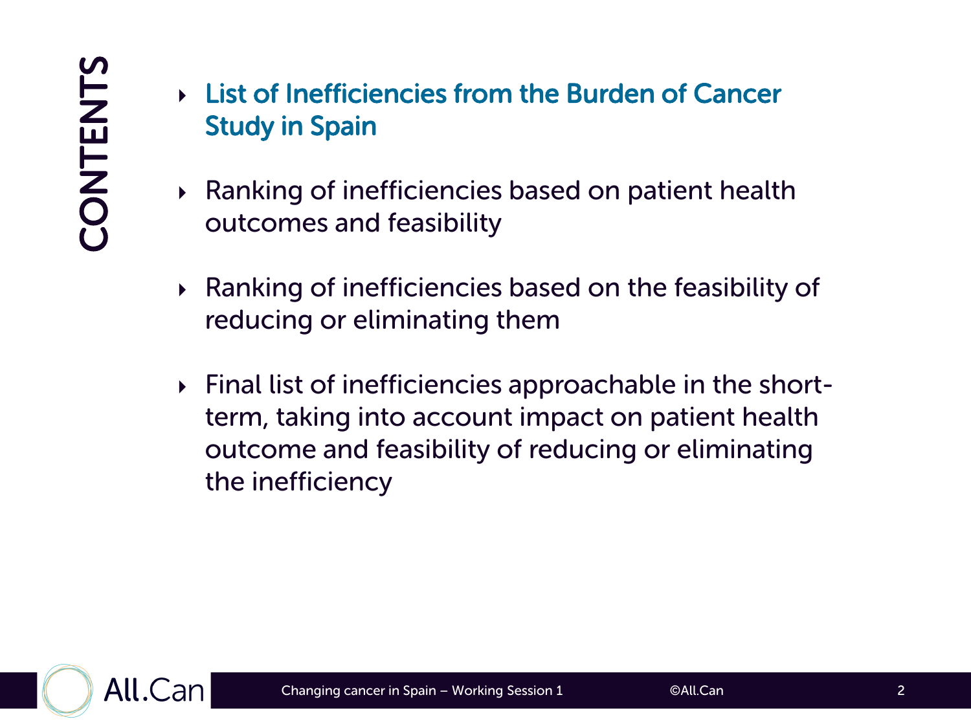- List of Inefficiencies from the Burden of Cancer Study in Spain
- Ranking of inefficiencies based on patient health outcomes and feasibility
- $\triangleright$  Ranking of inefficiencies based on the feasibility of reducing or eliminating them
- Final list of inefficiencies approachable in the shortterm, taking into account impact on patient health outcome and feasibility of reducing or eliminating the inefficiency

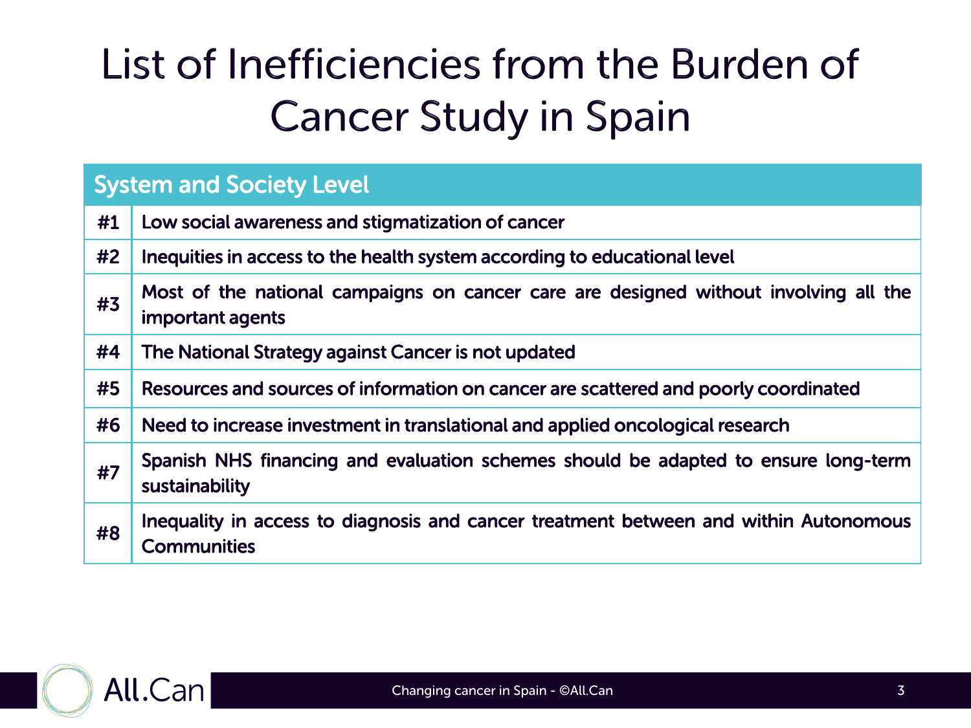| <b>System and Society Level</b> |                                                                                                            |  |  |  |
|---------------------------------|------------------------------------------------------------------------------------------------------------|--|--|--|
| #1                              | Low social awareness and stigmatization of cancer                                                          |  |  |  |
| #2                              | Inequities in access to the health system according to educational level                                   |  |  |  |
| #3                              | Most of the national campaigns on cancer care are designed without involving all the<br>important agents   |  |  |  |
| #4                              | The National Strategy against Cancer is not updated                                                        |  |  |  |
| #5                              | Resources and sources of information on cancer are scattered and poorly coordinated                        |  |  |  |
| #6                              | Need to increase investment in translational and applied oncological research                              |  |  |  |
| #7                              | Spanish NHS financing and evaluation schemes should be adapted to ensure long-term<br>sustainability       |  |  |  |
| #8                              | Inequality in access to diagnosis and cancer treatment between and within Autonomous<br><b>Communities</b> |  |  |  |

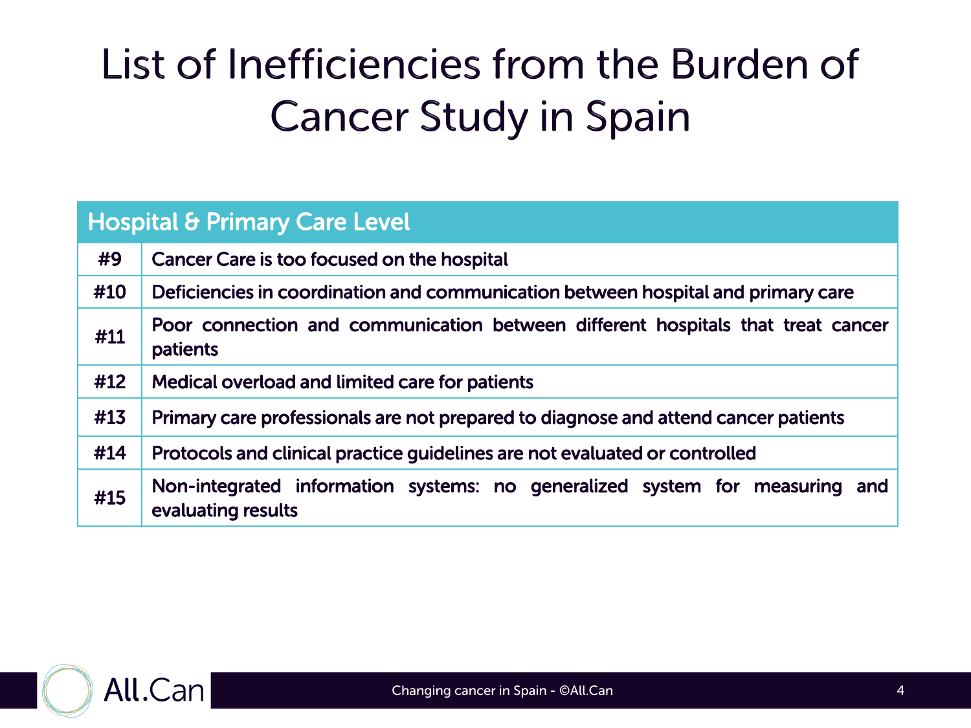| <b>Hospital &amp; Primary Care Level</b> |                                                                                                   |  |  |  |  |
|------------------------------------------|---------------------------------------------------------------------------------------------------|--|--|--|--|
| #9                                       | Cancer Care is too focused on the hospital                                                        |  |  |  |  |
| #10                                      | Deficiencies in coordination and communication between hospital and primary care                  |  |  |  |  |
| #11                                      | Poor connection and communication between different hospitals that treat cancer<br>patients       |  |  |  |  |
| #12                                      | Medical overload and limited care for patients                                                    |  |  |  |  |
| #13                                      | Primary care professionals are not prepared to diagnose and attend cancer patients                |  |  |  |  |
| #14                                      | Protocols and clinical practice guidelines are not evaluated or controlled                        |  |  |  |  |
| #15                                      | Non-integrated information systems: no generalized system for measuring and<br>evaluating results |  |  |  |  |

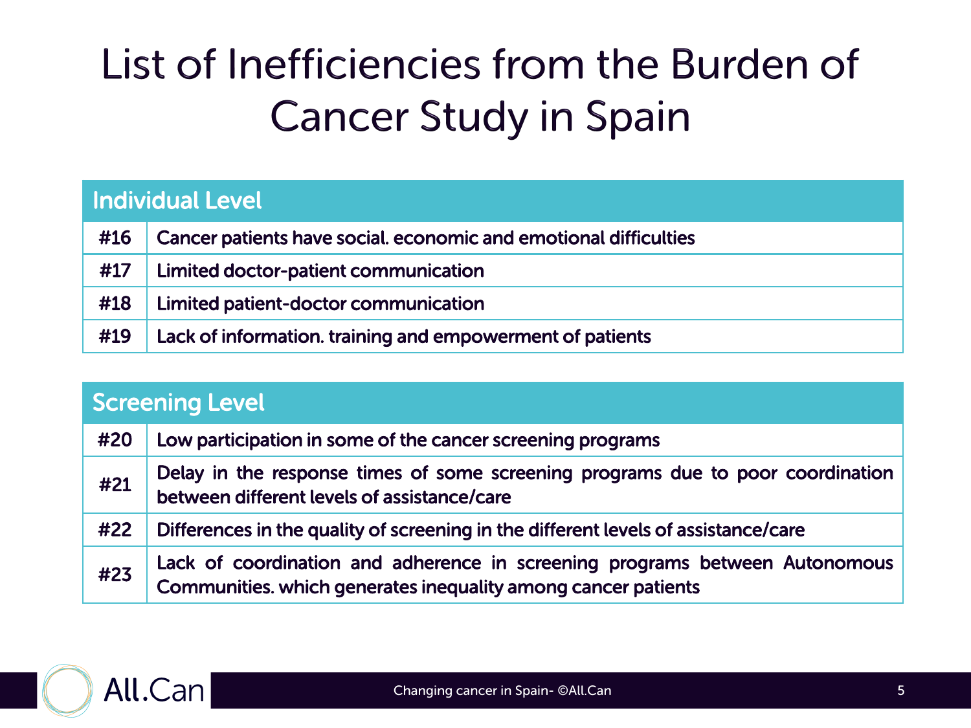|  | <b>Individual Level</b> |
|--|-------------------------|
|  |                         |
|  |                         |

|     | #16   Cancer patients have social. economic and emotional difficulties |
|-----|------------------------------------------------------------------------|
| #17 | <b>Limited doctor-patient communication</b>                            |
|     | #18   Limited patient-doctor communication                             |
| #19 | Lack of information. training and empowerment of patients              |

| <b>Screening Level</b> |                                                                                                                                              |  |  |  |
|------------------------|----------------------------------------------------------------------------------------------------------------------------------------------|--|--|--|
| #20                    | Low participation in some of the cancer screening programs                                                                                   |  |  |  |
| #21                    | Delay in the response times of some screening programs due to poor coordination<br>between different levels of assistance/care               |  |  |  |
| #22                    | Differences in the quality of screening in the different levels of assistance/care                                                           |  |  |  |
| #23                    | Lack of coordination and adherence in screening programs between Autonomous<br>Communities. which generates inequality among cancer patients |  |  |  |

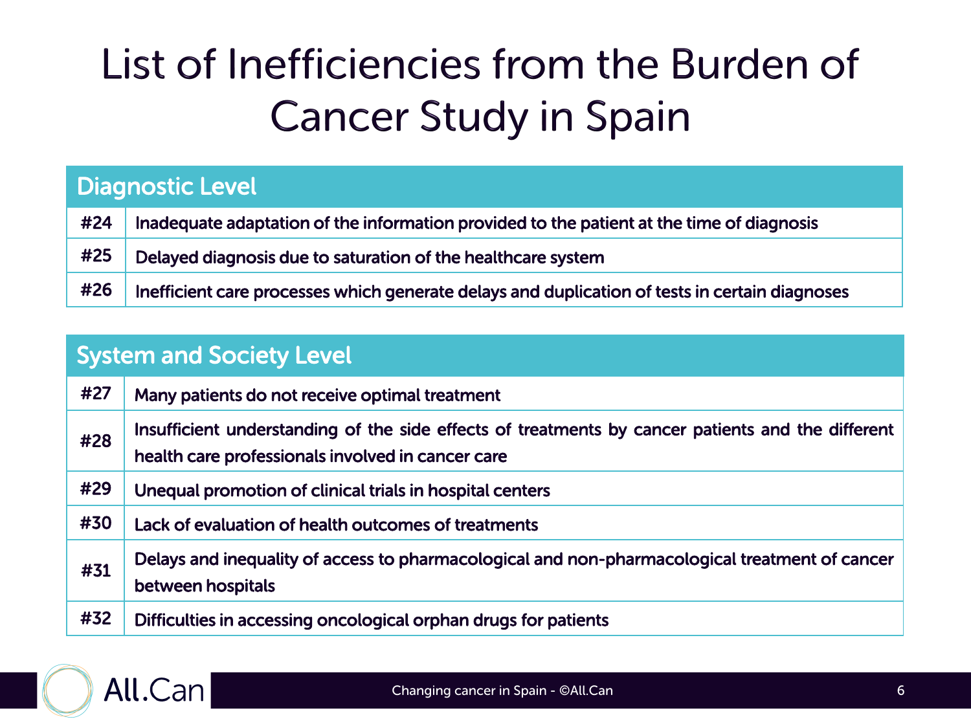| <b>Diagnostic Level</b> |                                                                                                |  |  |  |
|-------------------------|------------------------------------------------------------------------------------------------|--|--|--|
| #24                     | Inadequate adaptation of the information provided to the patient at the time of diagnosis      |  |  |  |
| #25                     | Delayed diagnosis due to saturation of the healthcare system                                   |  |  |  |
| #26                     | Inefficient care processes which generate delays and duplication of tests in certain diagnoses |  |  |  |

| <b>System and Society Level</b> |                                                                                                                                                        |  |  |
|---------------------------------|--------------------------------------------------------------------------------------------------------------------------------------------------------|--|--|
| #27                             | Many patients do not receive optimal treatment                                                                                                         |  |  |
| #28                             | Insufficient understanding of the side effects of treatments by cancer patients and the different<br>health care professionals involved in cancer care |  |  |
| #29                             | Unequal promotion of clinical trials in hospital centers                                                                                               |  |  |
| #30                             | Lack of evaluation of health outcomes of treatments                                                                                                    |  |  |
| #31                             | Delays and inequality of access to pharmacological and non-pharmacological treatment of cancer<br>between hospitals                                    |  |  |
| #32                             | Difficulties in accessing oncological orphan drugs for patients                                                                                        |  |  |

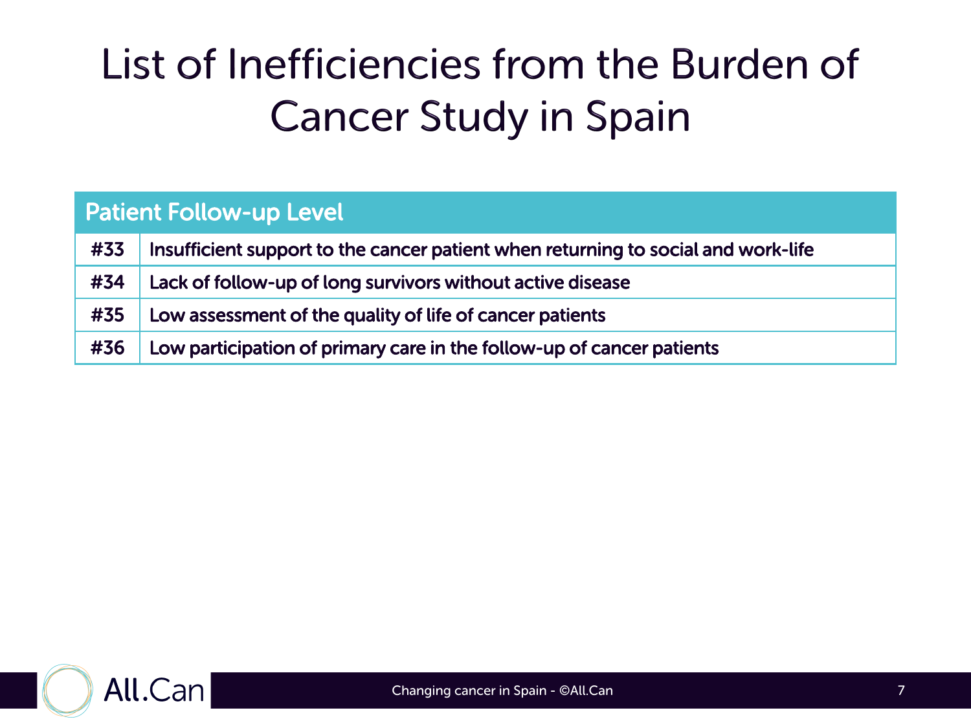| <b>Patient Follow-up Level</b> |                                                                                   |  |  |
|--------------------------------|-----------------------------------------------------------------------------------|--|--|
| #33                            | Insufficient support to the cancer patient when returning to social and work-life |  |  |
| #34                            | Lack of follow-up of long survivors without active disease                        |  |  |
| #35                            | Low assessment of the quality of life of cancer patients                          |  |  |
| #36                            | Low participation of primary care in the follow-up of cancer patients             |  |  |

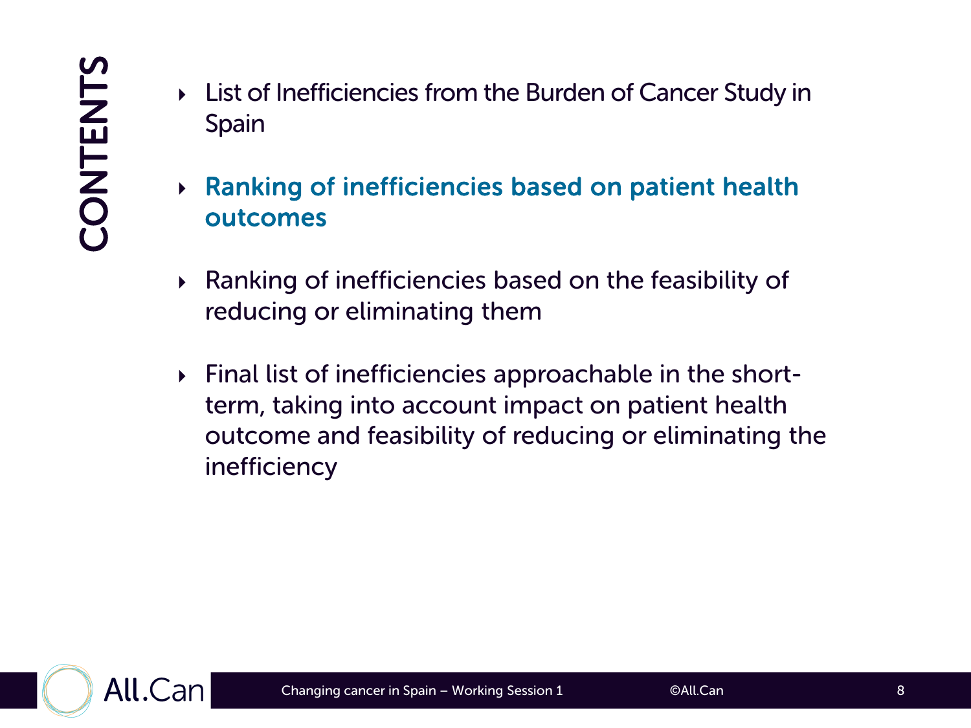- List of Inefficiencies from the Burden of Cancer Study in Spain
- Ranking of inefficiencies based on patient health outcomes
- $\triangleright$  Ranking of inefficiencies based on the feasibility of reducing or eliminating them
- Final list of inefficiencies approachable in the shortterm, taking into account impact on patient health outcome and feasibility of reducing or eliminating the inefficiency

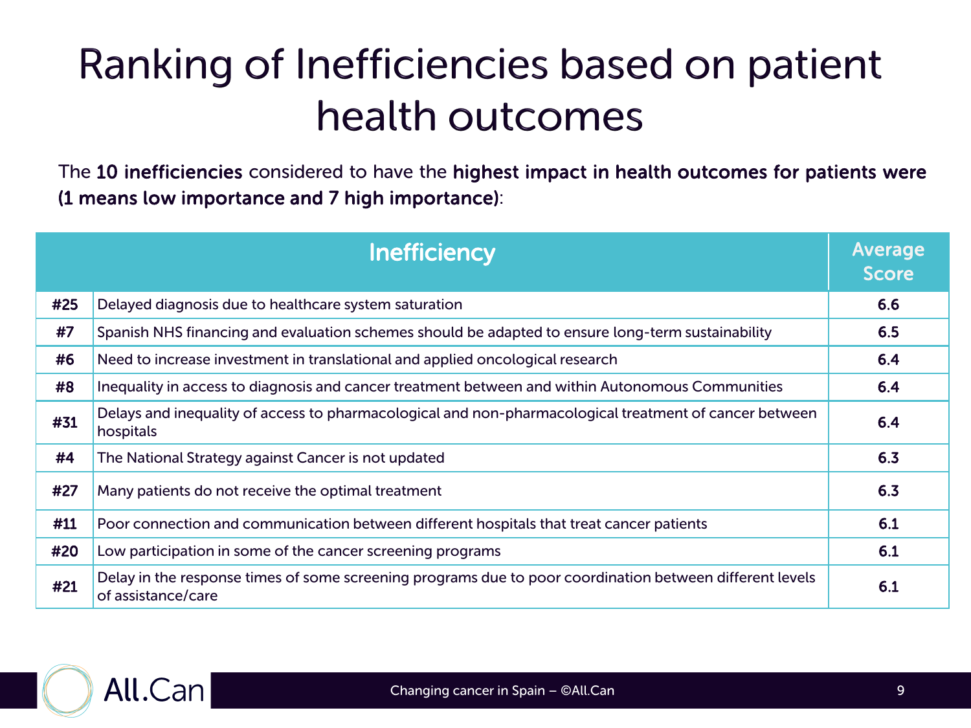#### Ranking of Inefficiencies based on patient health outcomes

The 10 inefficiencies considered to have the highest impact in health outcomes for patients were (1 means low importance and 7 high importance):

|     | Inefficiency                                                                                                                   | <b>Average</b><br><b>Score</b> |
|-----|--------------------------------------------------------------------------------------------------------------------------------|--------------------------------|
| #25 | Delayed diagnosis due to healthcare system saturation                                                                          | 6.6                            |
| #7  | Spanish NHS financing and evaluation schemes should be adapted to ensure long-term sustainability                              | 6.5                            |
| #6  | Need to increase investment in translational and applied oncological research                                                  | 6.4                            |
| #8  | Inequality in access to diagnosis and cancer treatment between and within Autonomous Communities                               | 6.4                            |
| #31 | Delays and inequality of access to pharmacological and non-pharmacological treatment of cancer between<br>hospitals            | 6.4                            |
| #4  | The National Strategy against Cancer is not updated                                                                            | 6.3                            |
| #27 | Many patients do not receive the optimal treatment                                                                             | 6.3                            |
| #11 | Poor connection and communication between different hospitals that treat cancer patients                                       | 6.1                            |
| #20 | Low participation in some of the cancer screening programs                                                                     | 6.1                            |
| #21 | Delay in the response times of some screening programs due to poor coordination between different levels<br>of assistance/care | 6.1                            |

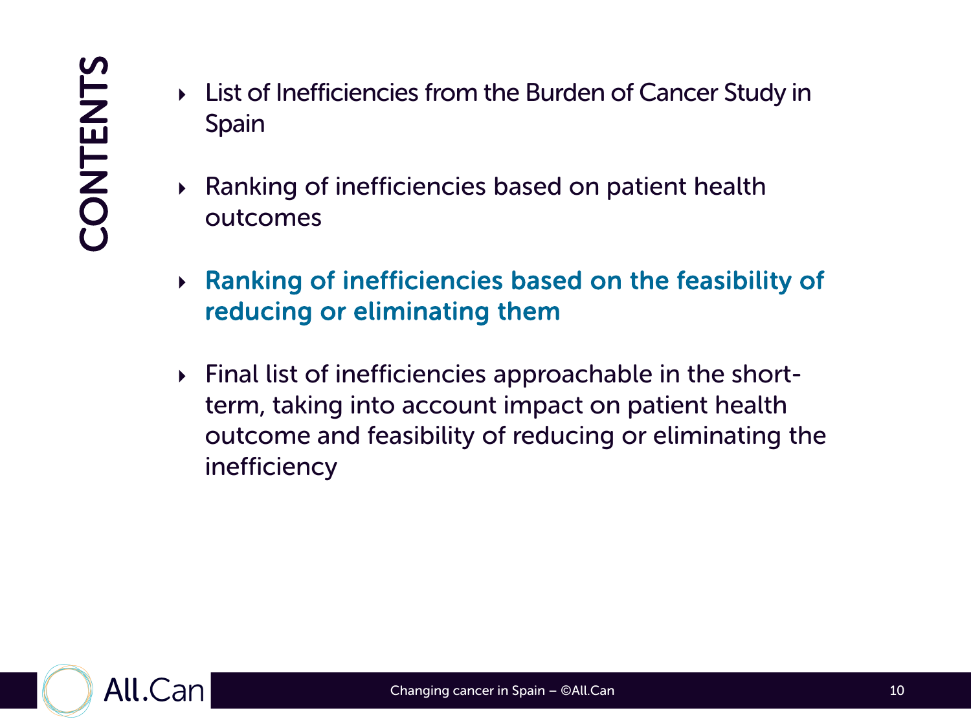- List of Inefficiencies from the Burden of Cancer Study in Spain
- Ranking of inefficiencies based on patient health outcomes
- Ranking of inefficiencies based on the feasibility of reducing or eliminating them
- Final list of inefficiencies approachable in the shortterm, taking into account impact on patient health outcome and feasibility of reducing or eliminating the inefficiency

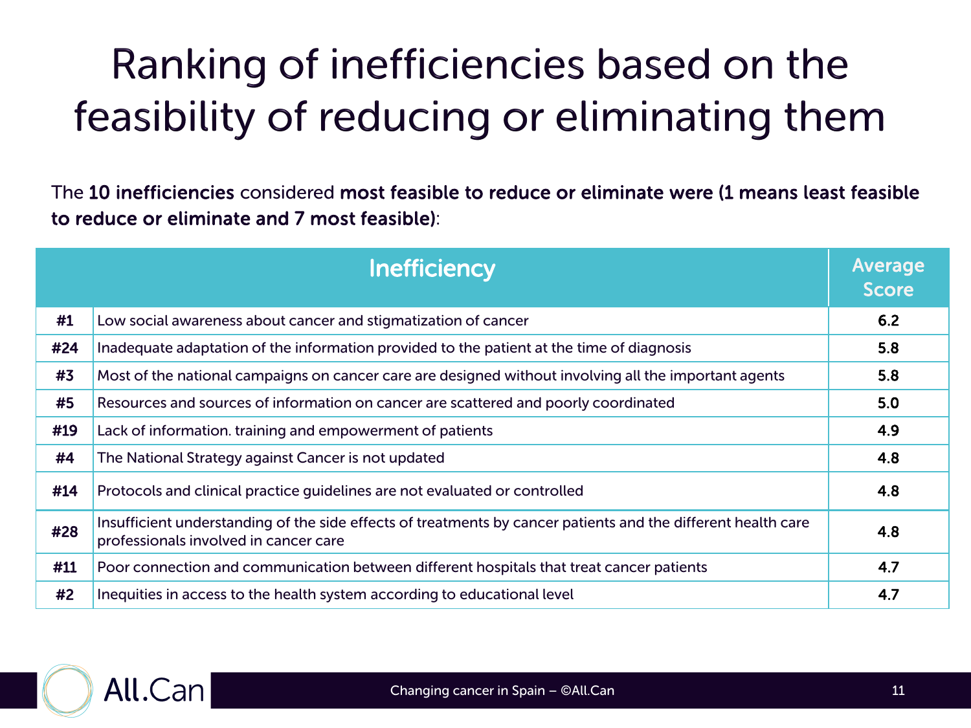## Ranking of inefficiencies based on the feasibility of reducing or eliminating them

The 10 inefficiencies considered most feasible to reduce or eliminate were (1 means least feasible to reduce or eliminate and 7 most feasible):

|     | <b>Inefficiency</b>                                                                                                                                    | Average<br><b>Score</b> |
|-----|--------------------------------------------------------------------------------------------------------------------------------------------------------|-------------------------|
| #1  | Low social awareness about cancer and stigmatization of cancer                                                                                         | 6.2                     |
| #24 | Inadequate adaptation of the information provided to the patient at the time of diagnosis                                                              | 5.8                     |
| #3  | Most of the national campaigns on cancer care are designed without involving all the important agents                                                  | 5.8                     |
| #5  | Resources and sources of information on cancer are scattered and poorly coordinated                                                                    | 5.0                     |
| #19 | Lack of information. training and empowerment of patients                                                                                              | 4.9                     |
| #4  | The National Strategy against Cancer is not updated                                                                                                    | 4.8                     |
| #14 | Protocols and clinical practice guidelines are not evaluated or controlled                                                                             | 4.8                     |
| #28 | Insufficient understanding of the side effects of treatments by cancer patients and the different health care<br>professionals involved in cancer care | 4.8                     |
| #11 | Poor connection and communication between different hospitals that treat cancer patients                                                               | 4.7                     |
| #2  | Inequities in access to the health system according to educational level                                                                               | 4.7                     |

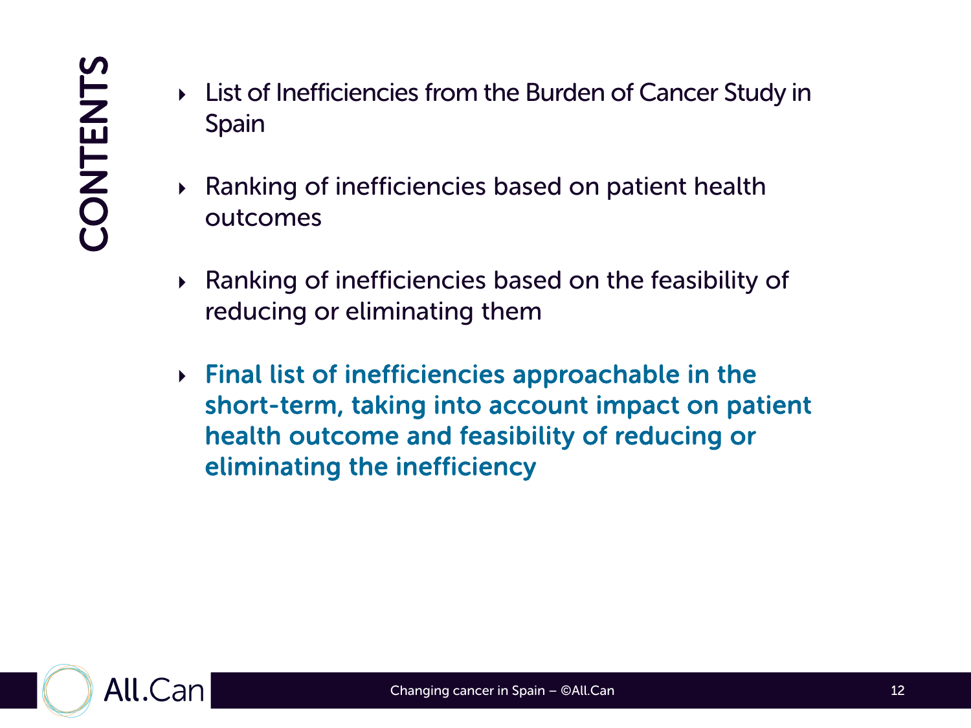- List of Inefficiencies from the Burden of Cancer Study in Spain
- Ranking of inefficiencies based on patient health outcomes
- Ranking of inefficiencies based on the feasibility of reducing or eliminating them
- $\triangleright$  Final list of inefficiencies approachable in the short-term, taking into account impact on patient health outcome and feasibility of reducing or eliminating the inefficiency